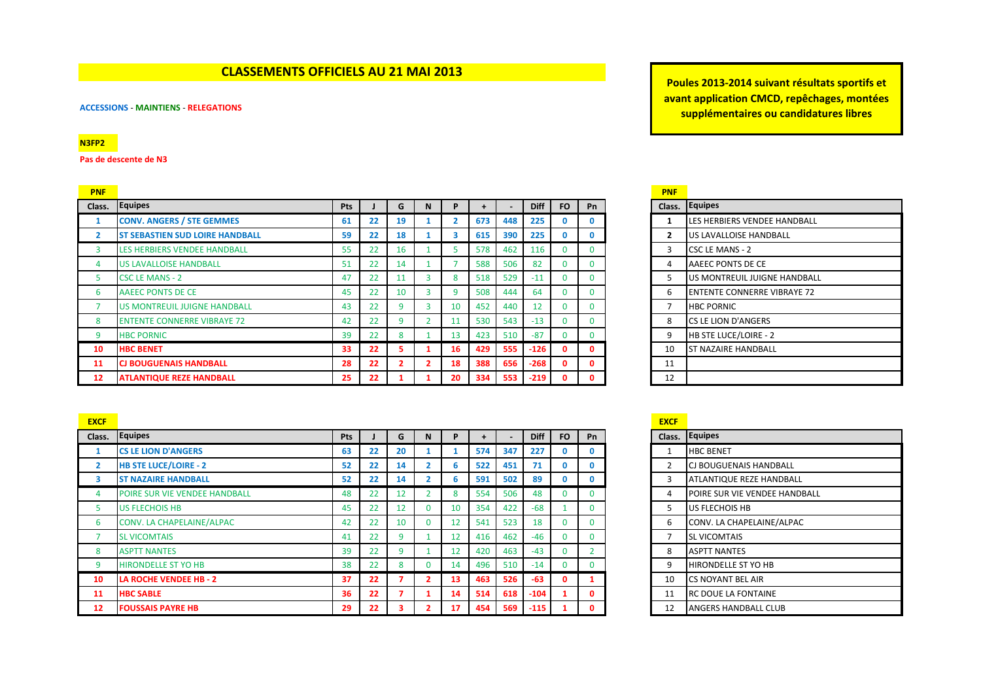# **CLASSEMENTS OFFICIELS AU 21 MAI 2013**

### **ACCESSIONS** - **MAINTIENS** - **RELEGATIONS**

## **N3FP2**

**Pas de descente de N3**

| <b>PNF</b>     |                                        |     |    |    |   |    |     |     |        |           |              | <b>PNF</b>              |                                    |
|----------------|----------------------------------------|-----|----|----|---|----|-----|-----|--------|-----------|--------------|-------------------------|------------------------------------|
| Class.         | Equipes                                | Pts |    | G  |   | P  |     |     | Diff   | <b>FO</b> | Pn           | Class.                  | <b>Equipes</b>                     |
|                | <b>CONV. ANGERS / STE GEMMES</b>       | 61  | 22 | 19 |   |    | 673 | 448 | 225    |           | $\mathbf{0}$ |                         | LES HERBIERS VENDEE HANDBALL       |
| $\overline{2}$ | <b>ST SEBASTIEN SUD LOIRE HANDBALL</b> | 59  | 22 | 18 |   |    | 615 | 390 | 225    |           | $\mathbf{0}$ | $\overline{\mathbf{2}}$ | <b>US LAVALLOISE HANDBALL</b>      |
| 3              | LES HERBIERS VENDEE HANDBALL           | 55  | 22 | 16 |   |    | 578 | 462 | 116    |           |              | 3                       | CSC LE MANS - 2                    |
| 4              | <b>US LAVALLOISE HANDBALL</b>          | 51  | 22 | 14 |   |    | 588 | 506 | 82     | 0         |              | 4                       | AAEEC PONTS DE CE                  |
| 5              | <b>CSC LE MANS - 2</b>                 | 47  | 22 | 11 | з | 8  | 518 | 529 | $-11$  |           |              |                         | US MONTREUIL JUIGNE HANDBALL       |
| 6              | AAEEC PONTS DE CE                      | 45  | 22 | 10 |   | q  | 508 | 444 | 64     |           |              | 6                       | <b>ENTENTE CONNERRE VIBRAYE 72</b> |
|                | <b>US MONTREUIL JUIGNE HANDBALL</b>    | 43  | 22 | 9  |   | 10 | 452 | 440 | 12     |           |              |                         | <b>HBC PORNIC</b>                  |
| 8              | <b>ENTENTE CONNERRE VIBRAYE 72</b>     | 42  | 22 | 9  |   | 11 | 530 | 543 | $-13$  | $\Omega$  | $\Omega$     | 8                       | <b>ICS LE LION D'ANGERS</b>        |
| 9              | <b>HBC PORNIC</b>                      | 39  | 22 | 8  |   | 13 | 423 | 510 | $-87$  |           |              | 9                       | <b>HB STE LUCE/LOIRE - 2</b>       |
| 10             | <b>HBC BENET</b>                       | 33  | 22 |    |   | 16 | 429 | 555 | $-126$ | 0         | 0            | 10                      | <b>ST NAZAIRE HANDBALL</b>         |
| 11             | <b>CJ BOUGUENAIS HANDBALL</b>          | 28  | 22 |    |   | 18 | 388 | 656 | $-268$ | 0         | 0            | 11                      |                                    |
| 12             | <b>ATLANTIQUE REZE HANDBALL</b>        | 25  | 22 |    |   | 20 | 334 | 553 | $-219$ | n         |              | 12                      |                                    |

**Poules 2013-2014 suivant résultats sportifs et avant application CMCD, repêchages, montées supplémentaires ou candidatures libres** 

| <b>PNF</b> |                                    |
|------------|------------------------------------|
| Class.     | <b>Equipes</b>                     |
| 1          | LES HERBIERS VENDEE HANDBALL       |
| 2          | US LAVALLOISE HANDBALL             |
| 3          | CSC LE MANS - 2                    |
| 4          | AAEEC PONTS DE CE                  |
| 5          | US MONTREUIL JUIGNE HANDBALL       |
| 6          | <b>ENTENTE CONNERRE VIBRAYE 72</b> |
| 7          | <b>HBC PORNIC</b>                  |
| 8          | <b>CS LE LION D'ANGERS</b>         |
| 9          | HB STE LUCE/LOIRE - 2              |
| 10         | ST NAZAIRE HANDBALL                |
| 11         |                                    |
| 12         |                                    |

| <b>EXCF</b>             |                               |            |    |    |   |    |     |     |             |              |    | <b>EXCF</b> |                                 |
|-------------------------|-------------------------------|------------|----|----|---|----|-----|-----|-------------|--------------|----|-------------|---------------------------------|
| Class.                  | <b>Equipes</b>                | <b>Pts</b> |    | G  | N | P  |     |     | <b>Diff</b> | <b>FO</b>    | Pn | Class.      | Equipes                         |
|                         | <b>CS LE LION D'ANGERS</b>    | 63         | 22 | 20 |   |    | 574 | 347 | 227         | $\mathbf{0}$ | 0  |             | <b>HBC BENET</b>                |
| $\overline{\mathbf{2}}$ | <b>HB STE LUCE/LOIRE - 2</b>  | 52         | 22 | 14 |   | 6  | 522 | 451 | 71          | $\mathbf{0}$ | 0  |             | <b>CJ BOUGUENAIS HANDBALL</b>   |
|                         | <b>ST NAZAIRE HANDBALL</b>    | 52         | 22 | 14 |   | 6  | 591 | 502 | 89          | $\mathbf{0}$ | 0  | 3           | <b>ATLANTIQUE REZE HANDBALL</b> |
| 4                       | POIRE SUR VIE VENDEE HANDBALL | 48         | 22 |    |   | 8  | 554 | 506 | 48          |              | 0  |             | POIRE SUR VIE VENDEE HANDBALL   |
|                         | <b>US FLECHOIS HB</b>         | 45         | 22 | 12 |   | 10 | 354 | 422 | $-68$       |              | 0  | 5           | US FLECHOIS HB                  |
| 6                       | CONV. LA CHAPELAINE/ALPAC     | 42         | 22 | 10 |   | 12 | 541 | 523 | 18          | $\mathbf{0}$ | 0  | 6           | CONV. LA CHAPELAINE/ALPAC       |
|                         | <b>SL VICOMTAIS</b>           | 41         | 22 | q  |   | 12 | 416 | 462 | $-46$       |              | 0  |             | <b>SL VICOMTAIS</b>             |
| 8                       | <b>ASPTT NANTES</b>           | 39         | 22 | 9  |   | 12 | 420 | 463 | $-43$       | $\Omega$     |    | 8           | <b>ASPTT NANTES</b>             |
| 9                       | <b>HIRONDELLE ST YO HB</b>    | 38         | 22 | 8  |   | 14 | 496 | 510 | $-14$       | $\Omega$     |    | 9           | <b>HIRONDELLE ST YO HB</b>      |
| 10                      | <b>LA ROCHE VENDEE HB - 2</b> | 37         | 22 |    |   | 13 | 463 | 526 | $-63$       | $\mathbf{0}$ |    | 10          | <b>CS NOYANT BEL AIR</b>        |
| 11                      | <b>HBC SABLE</b>              | 36         | 22 |    |   | 14 | 514 | 618 | $-104$      |              | 0  | 11          | <b>RC DOUE LA FONTAINE</b>      |
| 12                      | <b>FOUSSAIS PAYRE HB</b>      | 29         | 22 |    |   | 17 | 454 | 569 | $-115$      |              | 0  | 12          | <b>ANGERS HANDBALL CLUB</b>     |

| Class.         | <b>Equipes</b>                  |
|----------------|---------------------------------|
| 1              | <b>HBC BENET</b>                |
| $\overline{2}$ | CJ BOUGUENAIS HANDBALL          |
| 3              | <b>ATLANTIQUE REZE HANDBALL</b> |
| 4              | POIRE SUR VIE VENDEE HANDBALL   |
| 5              | US FLECHOIS HB                  |
| 6              | CONV. LA CHAPELAINE/ALPAC       |
| 7              | <b>SL VICOMTAIS</b>             |
| 8              | <b>ASPTT NANTES</b>             |
| 9              | HIRONDELLE ST YO HB             |
| 10             | <b>CS NOYANT BEL AIR</b>        |
| 11             | <b>RC DOUE LA FONTAINE</b>      |
| 12             | ANGERS HANDBALL CLUB            |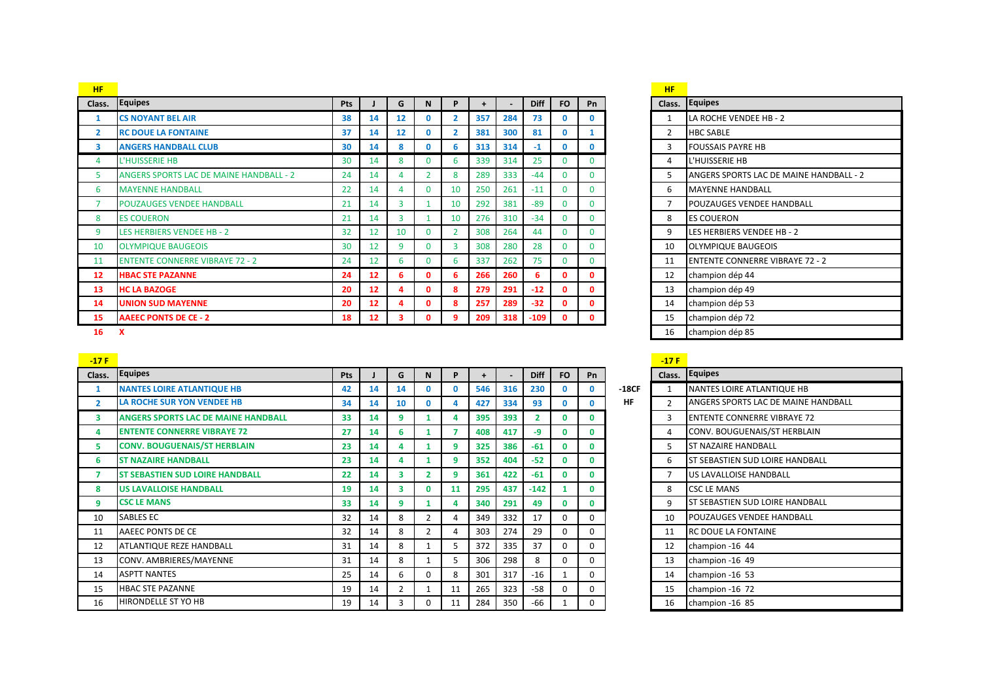| <b>HF</b>      |                                                |            |                   |                 |                |              |     |     |             |           |          | <b>HF</b> |                          |
|----------------|------------------------------------------------|------------|-------------------|-----------------|----------------|--------------|-----|-----|-------------|-----------|----------|-----------|--------------------------|
| Class.         | <b>Equipes</b>                                 | <b>Pts</b> |                   | G               | N              | P            | $+$ |     | <b>Diff</b> | <b>FO</b> | Pn       | Class.    | Equipes                  |
|                | <b>CS NOYANT BEL AIR</b>                       | 38         | 14                | 12 <sup>2</sup> | 0              | $\mathbf{2}$ | 357 | 284 | 73          | O         | 0        |           | LA ROCHE VENDEE HE       |
| $\overline{2}$ | <b>RC DOUE LA FONTAINE</b>                     | 37         | 14                | 12 <sup>2</sup> | $\mathbf{0}$   |              | 381 | 300 | 81          | 0         |          | 2         | <b>HBC SABLE</b>         |
| 3              | <b>ANGERS HANDBALL CLUB</b>                    | 30         | 14                | 8               | 0              | 6.           | 313 | 314 | $-1$        | 0         | 0        | 3         | <b>FOUSSAIS PAYRE HB</b> |
| 4              | L'HUISSERIE HB                                 | 30         | 14                | 8               | 0              | 6.           | 339 | 314 | 25          | $\Omega$  | 0        | 4         | L'HUISSERIE HB           |
| 5              | <b>ANGERS SPORTS LAC DE MAINE HANDBALL - 2</b> | 24         | 14                | 4               | $\overline{2}$ | 8            | 289 | 333 | $-44$       | $\Omega$  | 0        | 5         | <b>ANGERS SPORTS LAC</b> |
| 6              | <b>MAYENNE HANDBALL</b>                        | 22         | 14                | 4               | $\mathbf{0}$   | 10           | 250 | 261 | $-11$       | 0         | 0        | 6         | <b>MAYENNE HANDBALL</b>  |
| ∍              | <b>POUZAUGES VENDEE HANDBALL</b>               | 21         | 14                | 3               |                | 10           | 292 | 381 | $-89$       | $\Omega$  | $\Omega$ |           | <b>POUZAUGES VENDEE</b>  |
| 8              | <b>ES COUERON</b>                              | 21         | 14                | 3               |                | 10           | 276 | 310 | $-34$       | 0         | 0        | 8         | <b>ES COUERON</b>        |
| 9              | <b>LES HERBIERS VENDEE HB - 2</b>              | 32         | 12                | 10 <sup>°</sup> | $\mathbf{0}$   |              | 308 | 264 | 44          | $\Omega$  | 0        | 9         | LES HERBIERS VENDEI      |
| 10             | <b>OLYMPIQUE BAUGEOIS</b>                      | 30         | 12                | 9               | $\Omega$       | 3            | 308 | 280 | 28          | 0         | 0        | 10        | <b>OLYMPIQUE BAUGEO</b>  |
| 11             | <b>ENTENTE CONNERRE VIBRAYE 72 - 2</b>         | 24         | 12                | 6               | 0              | ь            | 337 | 262 | 75          | O         | 0        | 11        | <b>ENTENTE CONNERRE</b>  |
| 12             | <b>HBAC STE PAZANNE</b>                        | 24         | $12 \overline{ }$ | 6               | 0              | 6            | 266 | 260 | 6           | 0         | 0        | 12        | champion dép 44          |
| 13             | <b>HC LA BAZOGE</b>                            | 20         | $12 \overline{ }$ | 4               | 0              | 8            | 279 | 291 | $-12$       | O         | 0        | 13        | champion dép 49          |
| 14             | <b>UNION SUD MAYENNE</b>                       | 20         | $12 \overline{ }$ | 4               | 0              | 8            | 257 | 289 | $-32$       | 0         | 0        | 14        | champion dép 53          |
| 15             | <b>AAEEC PONTS DE CE - 2</b>                   | 18         | 12                | 3.              | 0              | 9            | 209 | 318 | $-109$      | 0         | 0        | 15        | champion dép 72          |
| 16             | x                                              |            |                   |                 |                |              |     |     |             |           |          | 16        | champion dép 85          |

 **CS NOYANT BEL AIR 38 14 12 0 2 357 284 73 0 0** 1 LA ROCHE VENDEE HB - 2 **ANGERS HANDBALL CLUB 30 14 8 0 6 313 314 -1 0 0** 3 FOUSSAIS PAYRE HB 5 ANGERS SPORTS LAC DE MAINE HANDBALL - 2 7 POUZAUGES VENDEE HANDBALL 9 LES HERBIERS VENDEE HB - 2 10 OLYMPIQUE BAUGEOIS 11 ENTENTE CONNERRE VIBRAYE 72 - 2 **champion dép 44 HC LA BAZOGE 20 12 4 0 8 279 291 -12 0 0** 13 champion dép 49 **AAEEC PONTS DE CE - 2 18 12 3 0 9 209 318 -109 0 0** 15 champion dép 72

| $-17F$         |                                            |            |    |    |    |    |           |     |             |              |          |           | $-17F$         |                                        |
|----------------|--------------------------------------------|------------|----|----|----|----|-----------|-----|-------------|--------------|----------|-----------|----------------|----------------------------------------|
| Class.         | <b>Equipes</b>                             | <b>Pts</b> |    | G  | N  | P  | $\ddot{}$ |     | <b>Diff</b> | <b>FO</b>    | Pn       |           |                | Class. Equipes                         |
|                | <b>NANTES LOIRE ATLANTIQUE HB</b>          | 42         | 14 | 14 | 0. | 0  | 546       | 316 | 230         | $\mathbf{0}$ | 0        | $-18CF$   |                | NANTES LOIRE ATLANTIQUE HB             |
| $\overline{2}$ | LA ROCHE SUR YON VENDEE HB                 | 34         | 14 | 10 |    |    | 427       | 334 | 93          | $\mathbf{0}$ | 0        | <b>HF</b> | $\mathfrak z$  | ANGERS SPORTS LAC DE MAINE HANDBALL    |
| 3              | <b>ANGERS SPORTS LAC DE MAINE HANDBALL</b> | 33         | 14 | 9  |    |    | 395       | 393 | 2           | $\mathbf{0}$ | 0        |           | 3              | <b>IENTENTE CONNERRE VIBRAYE 72</b>    |
| 4              | <b>ENTENTE CONNERRE VIBRAYE 72</b>         | 27         | 14 | 6  |    |    | 408       | 417 | $-9$        | $\mathbf{0}$ | 0        |           | 4              | CONV. BOUGUENAIS/ST HERBLAIN           |
| 5.             | <b>CONV. BOUGUENAIS/ST HERBLAIN</b>        | 23         | 14 | 4  |    | 9  | 325       | 386 | $-61$       | $\mathbf{0}$ | 0        |           | 5.             | <b>ST NAZAIRE HANDBALL</b>             |
| 6              | <b>ST NAZAIRE HANDBALL</b>                 | 23         | 14 | Δ  |    | 9  | 352       | 404 | $-52$       | $\mathbf{0}$ | 0        |           | 6              | <b>ST SEBASTIEN SUD LOIRE HANDBALL</b> |
|                | <b>ST SEBASTIEN SUD LOIRE HANDBALL</b>     | 22         | 14 | з  | 2  | 9  | 361       | 422 | $-61$       | $\mathbf{0}$ | 0        |           | $\overline{7}$ | US LAVALLOISE HANDBALL                 |
| 8              | <b>US LAVALLOISE HANDBALL</b>              | 19         | 14 |    | 0  | 11 | 295       | 437 | $-142$      |              | 0        |           | 8              | <b>CSC LE MANS</b>                     |
| 9              | <b>CSC LE MANS</b>                         | 33         | 14 | 9  |    |    | 340       | 291 | 49          | $\mathbf{0}$ | 0        |           | 9              | ST SEBASTIEN SUD LOIRE HANDBALL        |
| 10             | <b>SABLES EC</b>                           | 32         | 14 | 8  |    | 4  | 349       | 332 | 17          | $\Omega$     | $\Omega$ |           | 10             | <b>POUZAUGES VENDEE HANDBALL</b>       |
| 11             | AAEEC PONTS DE CE                          | 32         | 14 | 8  | 2  | Δ  | 303       | 274 | 29          | $\Omega$     | $\Omega$ |           | 11             | <b>IRC DOUE LA FONTAINE</b>            |
| 12             | ATLANTIQUE REZE HANDBALL                   | 31         | 14 | 8  |    | 5  | 372       | 335 | 37          | $\Omega$     | $\Omega$ |           | 12             | champion -16 44                        |
| 13             | CONV. AMBRIERES/MAYENNE                    | 31         | 14 | 8  |    | 5  | 306       | 298 | 8           | $\Omega$     | 0        |           | 13             | champion -16 49                        |
| 14             | <b>ASPTT NANTES</b>                        | 25         | 14 | 6  | 0  | 8  | 301       | 317 | $-16$       |              | $\Omega$ |           | 14             | champion -16 53                        |
| 15             | <b>HBAC STE PAZANNE</b>                    | 19         | 14 |    |    | 11 | 265       | 323 | $-58$       | $\Omega$     | 0        |           | 15             | champion -16 72                        |
| 16             | HIRONDELLE ST YO HB                        | 19         | 14 |    | 0  | 11 | 284       | 350 | -66         |              | 0        |           | 16             | champion -16 85                        |

| Class.         | <b>Equipes</b>                      |
|----------------|-------------------------------------|
| $\mathbf{1}$   | <b>NANTES LOIRE ATLANTIQUE HB</b>   |
| $\overline{2}$ | ANGERS SPORTS LAC DE MAINE HANDBALL |
| 3              | <b>ENTENTE CONNERRE VIBRAYE 72</b>  |
| 4              | CONV. BOUGUENAIS/ST HERBLAIN        |
| 5              | <b>ST NAZAIRE HANDBALL</b>          |
| 6              | ST SEBASTIEN SUD LOIRE HANDBALL     |
| 7              | US LAVALLOISE HANDBALL              |
| 8              | <b>CSC LE MANS</b>                  |
| 9              | ST SEBASTIEN SUD LOIRE HANDBALL     |
| 10             | POUZAUGES VENDEE HANDBALL           |
| 11             | RC DOUE LA FONTAINE                 |
| 12             | champion -16 44                     |
| 13             | champion -16 49                     |
| 14             | champion -16 53                     |
| 15             | champion -16 72                     |
| 16             | champion -16 85                     |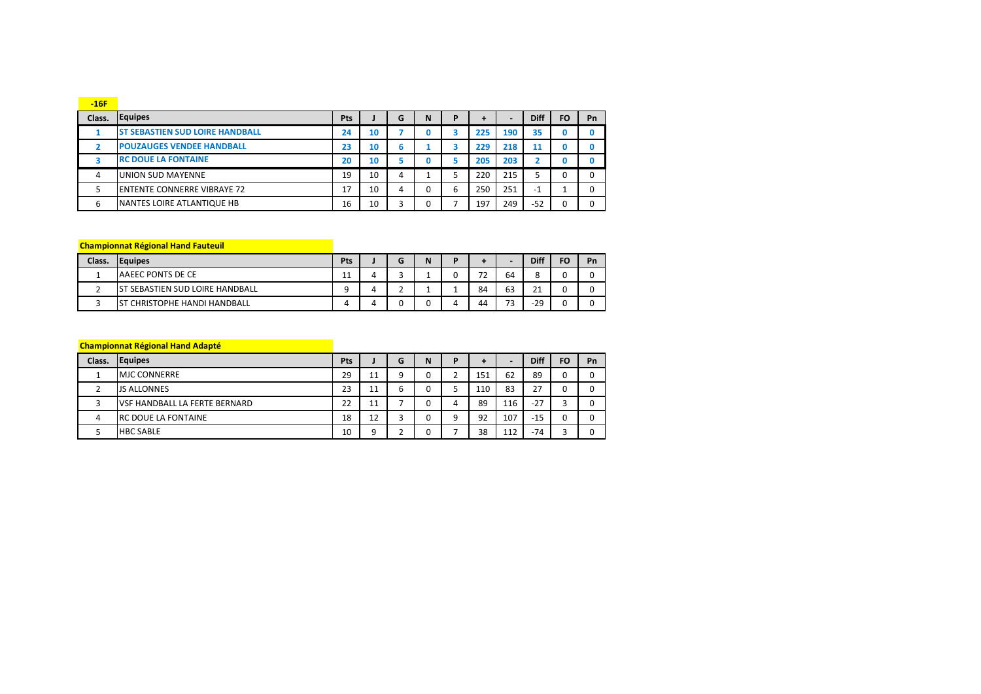| $-16F$ |                                        |     |    |   |   |   |     |                          |             |           |    |
|--------|----------------------------------------|-----|----|---|---|---|-----|--------------------------|-------------|-----------|----|
| Class. | <b>Equipes</b>                         | Pts |    | G | N | D | ٠   | $\overline{\phantom{0}}$ | <b>Diff</b> | <b>FO</b> | Pn |
|        | <b>ST SEBASTIEN SUD LOIRE HANDBALL</b> | 24  | 10 |   |   |   | 225 | 190                      | 35          |           |    |
|        | <b>POUZAUGES VENDEE HANDBALL</b>       | 23  | 10 | 6 |   |   | 229 | 218                      | 11          |           |    |
|        | <b>RC DOUE LA FONTAINE</b>             | 20  | 10 | ∍ |   |   | 205 | 203                      |             |           |    |
| 4      | UNION SUD MAYENNE                      | 19  | 10 | 4 |   |   | 220 | 215                      |             |           |    |
|        | <b>ENTENTE CONNERRE VIBRAYE 72</b>     | 17  | 10 | 4 | 0 | 6 | 250 | 251                      | $-1$        |           |    |
| 6      | <b>NANTES LOIRE ATLANTIQUE HB</b>      | 16  | 10 | 3 | 0 |   | 197 | 249                      | $-52$       |           |    |

## **Championnat Régional Hand Fauteuil**

| Class. | <b>Equipes</b>                            | Pts |  | N | D |                               |         | <b>Diff</b>       | FO | Pn |
|--------|-------------------------------------------|-----|--|---|---|-------------------------------|---------|-------------------|----|----|
|        | AAEEC PONTS DE CE                         | ᆠ   |  |   |   | $\overline{\phantom{a}}$<br>∸ | 64      |                   |    |    |
|        | <b>SEBASTIEN SUD LOIRE HANDBALL</b><br>S" |     |  |   |   | 84                            | 63      | $\mathbf{A}$<br>ᅀ |    |    |
|        | CHRISTOPHE HANDI HANDBALL                 |     |  |   |   | 44                            | כד<br>پ | $-29$             |    |    |

## **Championnat Régional Hand Adapté**

| Class. | <b>Equipes</b>                       | Pts |    | G            | N | D |     | $\overline{\phantom{0}}$ | <b>Diff</b> | FO | Pn |
|--------|--------------------------------------|-----|----|--------------|---|---|-----|--------------------------|-------------|----|----|
|        | <b>MJC CONNERRE</b>                  | 29  | 11 | a            |   |   | 151 | 62                       | 89          |    |    |
|        | <b>JS ALLONNES</b>                   | 23  | 11 | ∽<br>6       |   |   | 110 | 83                       | 27          |    |    |
|        | <b>VSF HANDBALL LA FERTE BERNARD</b> | 22  | 11 |              |   | Δ | 89  | 116                      | $-27$       |    |    |
| 4      | <b>RC DOUE LA FONTAINE</b>           | 18  | 12 | <sup>-</sup> |   | a | 92  | 107                      | $-15$       |    |    |
|        | <b>HBC SABLE</b>                     | 10  | q  | ∼            |   |   | 38  | 112                      | $-74$       |    |    |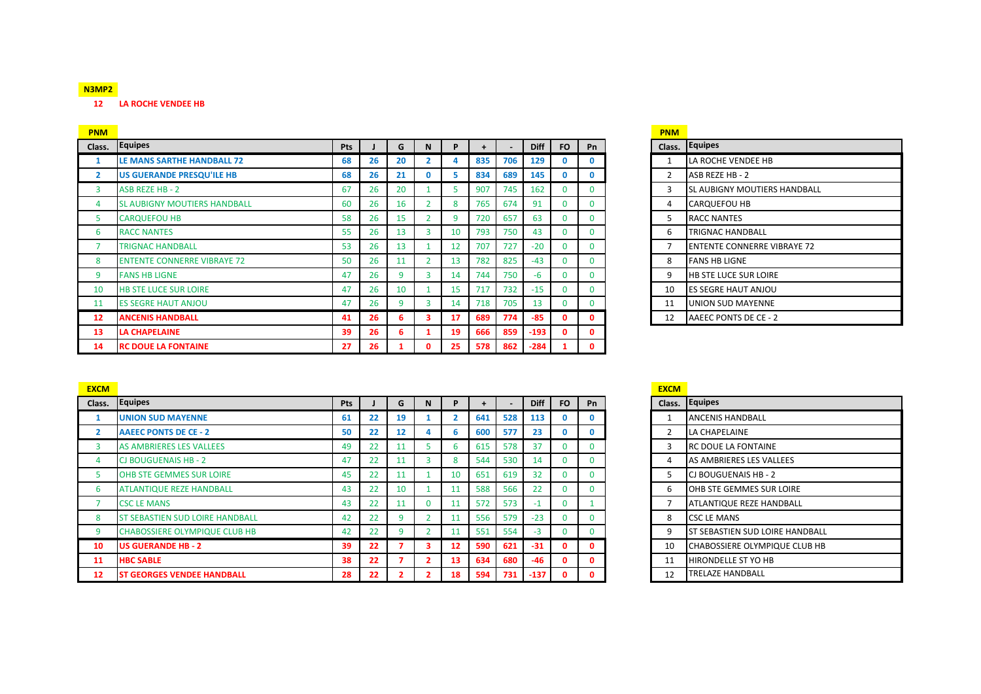## **N3MP2**

**LA ROCHE VENDEE HB**

| <b>PNM</b>     |                                     |            |    |    |    |    |     |     |             |           |              | <b>PNM</b>     |                                    |
|----------------|-------------------------------------|------------|----|----|----|----|-----|-----|-------------|-----------|--------------|----------------|------------------------------------|
| Class.         | Equipes                             | <b>Pts</b> |    | G  |    | P  |     |     | <b>Diff</b> | <b>FO</b> | Pn           | Class.         | Equipes                            |
|                | LE MANS SARTHE HANDBALL 72          | 68         | 26 | 20 |    |    | 835 | 706 | 129         | 0         | $\mathbf{0}$ |                | LA ROCHE VENDEE HB                 |
| $\overline{2}$ | US GUERANDE PRESQU'ILE HB           | 68         | 26 | 21 | 0  | 5  | 834 | 689 | 145         | 0         | $\mathbf{0}$ |                | ASB REZE HB - 2                    |
| 3              | ASB REZE HB - 2                     | 67         | 26 | 20 |    | 5  | 907 | 745 | 162         | $\Omega$  | $\Omega$     | 3              | SL AUBIGNY MOUTIERS HANDBALL       |
| 4              | <b>SL AUBIGNY MOUTIERS HANDBALL</b> | 60         | 26 | 16 |    | 8  | 765 | 674 | 91          | $\Omega$  | $\Omega$     | 4              | <b>CARQUEFOU HB</b>                |
| 5              | <b>CARQUEFOU HB</b>                 | 58         | 26 | 15 |    | 9  | 720 | 657 | 63          | $\Omega$  | 0            | 5              | <b>RACC NANTES</b>                 |
| 6              | <b>RACC NANTES</b>                  | 55         | 26 | 13 | 3  | 10 | 793 | 750 | 43          | $\Omega$  | $\Omega$     | 6              | <b>TRIGNAC HANDBALL</b>            |
| $\overline{7}$ | TRIGNAC HANDBALL                    | 53         | 26 | 13 |    | 12 | 707 | 727 | $-20$       | $\Omega$  |              | $\overline{7}$ | <b>ENTENTE CONNERRE VIBRAYE 72</b> |
| 8              | <b>ENTENTE CONNERRE VIBRAYE 72</b>  | 50         | 26 | 11 |    | 13 | 782 | 825 | $-43$       | $\Omega$  | $\Omega$     | 8              | <b>FANS HB LIGNE</b>               |
| 9              | <b>FANS HB LIGNE</b>                | 47         | 26 | 9  |    | 14 | 744 | 750 | $-6$        | $\Omega$  |              | 9              | HB STE LUCE SUR LOIRE              |
| 10             | HB STE LUCE SUR LOIRE               | 47         | 26 | 10 |    | 15 | 717 | 732 | $-15$       | $\Omega$  | $\Omega$     | 10             | <b>ES SEGRE HAUT ANJOU</b>         |
| 11             | <b>ES SEGRE HAUT ANJOU</b>          | 47         | 26 | 9  | 3  | 14 | 718 | 705 | 13          | $\Omega$  |              | 11             | UNION SUD MAYENNE                  |
| 12             | <b>ANCENIS HANDBALL</b>             | 41         | 26 | 6  | з. | 17 | 689 | 774 | $-85$       | 0         | $\Omega$     | 12             | AAEEC PONTS DE CE - 2              |
| 13             | <b>LA CHAPELAINE</b>                | 39         | 26 | 6  |    | 19 | 666 | 859 | $-193$      | $\Omega$  | 0            |                |                                    |
| 14             | <b>RC DOUE LA FONTAINE</b>          | 27         | 26 |    | 0  | 25 | 578 | 862 | $-284$      |           | 0            |                |                                    |

| PNM            |                                    |
|----------------|------------------------------------|
| Class.         | <b>Equipes</b>                     |
| 1              | LA ROCHE VENDEE HB                 |
| $\overline{2}$ | ASB REZE HB - 2                    |
| 3              | SL AUBIGNY MOUTIERS HANDBALL       |
| 4              | <b>CARQUEFOU HB</b>                |
| 5.             | <b>RACC NANTES</b>                 |
| 6              | TRIGNAC HANDBALL                   |
| 7              | <b>ENTENTE CONNERRE VIBRAYE 72</b> |
| 8              | <b>FANS HB LIGNE</b>               |
| 9              | HB STE LUCE SUR LOIRE              |
| 10             | <b>ES SEGRE HAUT ANJOU</b>         |
| 11             | UNION SUD MAYENNE                  |
| 12             | AAEEC PONTS DE CE - 2              |

| <b>EXCM</b>    |                                        |            |    |    |                |                 |     |     |             |           |              | <b>EXCM</b> |                                        |
|----------------|----------------------------------------|------------|----|----|----------------|-----------------|-----|-----|-------------|-----------|--------------|-------------|----------------------------------------|
| Class.         | <b>Equipes</b>                         | <b>Pts</b> |    | G  | N              |                 |     | ۰   | <b>Diff</b> | <b>FO</b> | Pn           |             | Class. Equipes                         |
|                | <b>UNION SUD MAYENNE</b>               | 61         | 22 | 19 |                |                 | 641 | 528 | 113         |           | $\mathbf{0}$ |             | <b>ANCENIS HANDBALL</b>                |
| 2              | AAEEC PONTS DE CE - 2                  | 50         | 22 | 12 |                | ь               | 600 | 577 | 23          |           | $\mathbf{0}$ |             | LA CHAPELAINE                          |
| 3              | AS AMBRIERES LES VALLEES               | 49         | 22 | 11 |                | ь               | 615 | 578 | 37          |           | $\mathbf{0}$ | 3           | <b>RC DOUE LA FONTAINE</b>             |
| $\overline{a}$ | <b>CJ BOUGUENAIS HB - 2</b>            | 47         | 22 | 11 | 3              |                 | 544 | 530 | 14          |           | $\mathbf{0}$ | 4           | AS AMBRIERES LES VALLEES               |
|                | OHB STE GEMMES SUR LOIRE               | 45         | 22 | 11 |                | 10              | 651 | 619 | 32          |           | $\mathbf{0}$ |             | <b>CJ BOUGUENAIS HB-2</b>              |
| 6              | <b>ATLANTIQUE REZE HANDBALL</b>        | 43         | 22 | 10 |                |                 | 588 | 566 | 22          |           | $\mathbf{0}$ | 6           | OHB STE GEMMES SUR LOIRE               |
|                | <b>CSC LE MANS</b>                     | 43         | 22 | 11 | $\Omega$       |                 | 572 | 573 | -1          |           |              |             | <b>ATLANTIQUE REZE HANDBALL</b>        |
| 8              | <b>ST SEBASTIEN SUD LOIRE HANDBALL</b> | 42         | 22 | 9  | $\overline{2}$ |                 | 556 | 579 | $-23$       |           | $\mathbf{0}$ | 8           | <b>CSC LE MANS</b>                     |
| 9              | <b>CHABOSSIERE OLYMPIQUE CLUB HB</b>   | 42         | 22 | ٩  | $\overline{2}$ |                 | 551 | 554 | $-3$        |           | $\mathbf{0}$ | 9           | <b>ST SEBASTIEN SUD LOIRE HANDBALL</b> |
| 10             | <b>US GUERANDE HB - 2</b>              | 39         | 22 |    | з.             | 12 <sup>2</sup> | 590 | 621 | $-31$       |           | $\mathbf{0}$ | 10          | <b>CHABOSSIERE OLYMPIQUE CLUB HB</b>   |
| 11             | <b>HBC SABLE</b>                       | 38         | 22 |    |                | 13              | 634 | 680 | $-46$       | 0         | $\mathbf{0}$ | 11          | <b>HIRONDELLE ST YO HB</b>             |
| 12             | <b>ST GEORGES VENDEE HANDBALL</b>      | 28         | 22 |    |                | 18              | 594 | 731 | $-137$      |           | $\Omega$     | 12          | <b>TRELAZE HANDBALL</b>                |

| Class.       | <b>Equipes</b>                  |
|--------------|---------------------------------|
| $\mathbf{1}$ | <b>ANCENIS HANDBALL</b>         |
| 2            | LA CHAPELAINE                   |
| 3            | <b>RC DOUE LA FONTAINE</b>      |
| 4            | AS AMBRIERES LES VALLEES        |
| 5            | CJ BOUGUENAIS HB - 2            |
| 6            | OHB STE GEMMES SUR LOIRE        |
| 7            | <b>ATLANTIQUE REZE HANDBALL</b> |
| 8            | <b>CSC LE MANS</b>              |
| 9            | ST SEBASTIEN SUD LOIRE HANDBALL |
| 10           | CHABOSSIERE OLYMPIQUE CLUB HB   |
| 11           | <b>HIRONDELLE ST YO HB</b>      |
| 12           | <b>TRELAZE HANDBALL</b>         |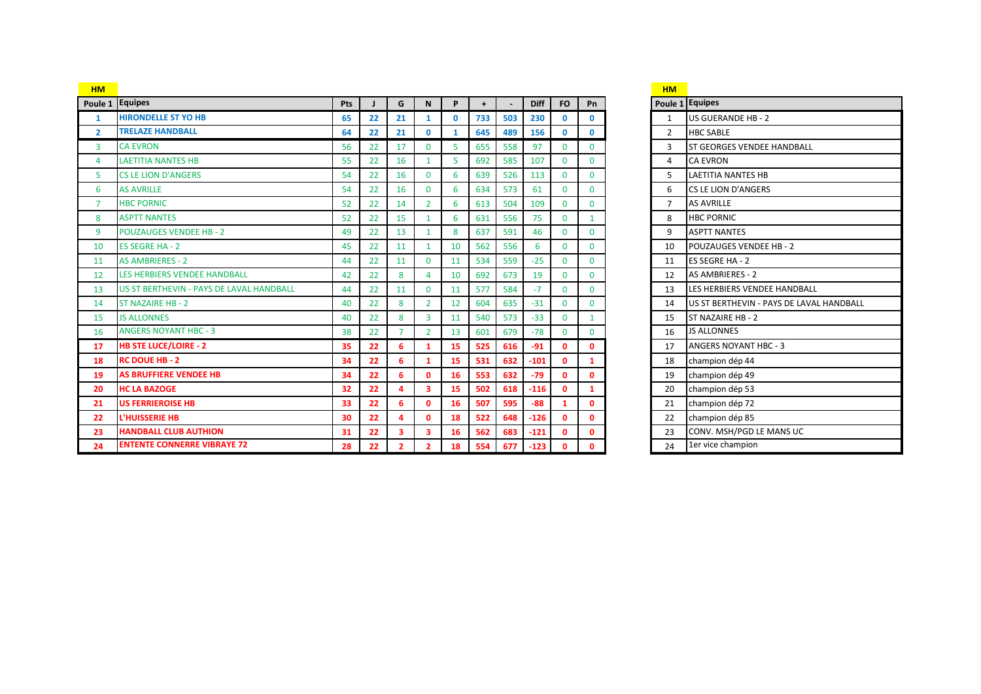| <b>HM</b>               |                                          |     |    |                |                |              |     |                          |             |              |              | <b>HM</b>      |                                          |
|-------------------------|------------------------------------------|-----|----|----------------|----------------|--------------|-----|--------------------------|-------------|--------------|--------------|----------------|------------------------------------------|
|                         | Poule 1 Equipes                          | Pts |    | G              | N              | P            | $+$ | $\overline{\phantom{a}}$ | <b>Diff</b> | <b>FO</b>    | Pn           |                | Poule 1 Equipes                          |
| -1                      | <b>HIRONDELLE ST YO HB</b>               | 65  | 22 | 21             | 1              | $\mathbf{0}$ | 733 | 503                      | 230         | $\mathbf 0$  | $\mathbf{0}$ | 1              | <b>US GUERANDE HB-2</b>                  |
| $\overline{2}$          | <b>TRELAZE HANDBALL</b>                  | 64  | 22 | 21             | $\mathbf{0}$   | $\mathbf{1}$ | 645 | 489                      | 156         | $\mathbf{0}$ | $\mathbf{0}$ | $\overline{2}$ | <b>HBC SABLE</b>                         |
| 3                       | <b>CA EVRON</b>                          | 56  | 22 | 17             | $\mathbf 0$    | 5            | 655 | 558                      | 97          | $\mathbf{0}$ | $\mathbf{0}$ | 3              | <b>ST GEORGES VENDEE HANDBALL</b>        |
| $\overline{\mathbf{A}}$ | <b>LAETITIA NANTES HB</b>                | 55  | 22 | 16             | 1              | 5            | 692 | 585                      | 107         | $\Omega$     | $\Omega$     | 4              | <b>CA EVRON</b>                          |
| 5                       | <b>CS LE LION D'ANGERS</b>               | 54  | 22 | 16             | $\mathbf 0$    | 6            | 639 | 526                      | 113         | $\mathbf{0}$ | $\mathbf{0}$ | 5              | <b>LAETITIA NANTES HB</b>                |
| 6                       | <b>AS AVRILLE</b>                        | 54  | 22 | 16             | $\mathbf 0$    | 6            | 634 | 573                      | 61          | $\mathbf{0}$ | $\mathbf{0}$ | 6              | <b>CS LE LION D'ANGERS</b>               |
| $\overline{7}$          | <b>HBC PORNIC</b>                        | 52  | 22 | 14             | $\overline{2}$ | 6            | 613 | 504                      | 109         | $\mathbf{0}$ | $\mathbf{0}$ | $\overline{7}$ | <b>AS AVRILLE</b>                        |
| 8                       | <b>ASPTT NANTES</b>                      | 52  | 22 | 15             | 1              | 6            | 631 | 556                      | 75          | $\mathbf{0}$ | $\mathbf{1}$ | 8              | <b>HBC PORNIC</b>                        |
| 9                       | <b>POUZAUGES VENDEE HB - 2</b>           | 49  | 22 | 13             | 1              | 8            | 637 | 591                      | 46          | $\mathbf{0}$ | $\mathbf{0}$ | 9              | <b>ASPTT NANTES</b>                      |
| 10                      | <b>ES SEGRE HA - 2</b>                   | 45  | 22 | 11             | 1              | 10           | 562 | 556                      | 6           | $\mathbf{0}$ | $\Omega$     | 10             | <b>POUZAUGES VENDEE HB-2</b>             |
| 11                      | <b>AS AMBRIERES - 2</b>                  | 44  | 22 | 11             | $\mathbf 0$    | 11           | 534 | 559                      | $-25$       | $\mathbf{0}$ | $\mathbf{0}$ | 11             | ES SEGRE HA - 2                          |
| 12                      | LES HERBIERS VENDEE HANDBALL             | 42  | 22 | 8              | Δ              | 10           | 692 | 673                      | 19          | $\mathbf{0}$ | $\mathbf{0}$ | 12             | AS AMBRIERES - 2                         |
| 13                      | US ST BERTHEVIN - PAYS DE LAVAL HANDBALL | 44  | 22 | 11             | $\Omega$       | 11           | 577 | 584                      | $-7$        | $\Omega$     | $\Omega$     | 13             | LES HERBIERS VENDEE HANDBALL             |
| 14                      | <b>ST NAZAIRE HB - 2</b>                 | 40  | 22 | 8              | $\overline{2}$ | 12           | 604 | 635                      | $-31$       | $\mathbf{0}$ | $\Omega$     | 14             | US ST BERTHEVIN - PAYS DE LAVAL HANDBALL |
| 15                      | <b>JS ALLONNES</b>                       | 40  | 22 | 8              | 3              | 11           | 540 | 573                      | $-33$       | $\mathbf{0}$ | $\mathbf{1}$ | 15             | <b>ST NAZAIRE HB-2</b>                   |
| 16                      | <b>ANGERS NOYANT HBC - 3</b>             | 38  | 22 | $\overline{7}$ | $\overline{2}$ | 13           | 601 | 679                      | $-78$       | $\mathbf{0}$ | $\mathbf{0}$ | 16             | <b>JS ALLONNES</b>                       |
| 17                      | <b>HB STE LUCE/LOIRE - 2</b>             | 35  | 22 | 6              | 1              | 15           | 525 | 616                      | $-91$       | $\mathbf{0}$ | $\mathbf{0}$ | 17             | <b>ANGERS NOYANT HBC - 3</b>             |
| 18                      | <b>RC DOUE HB - 2</b>                    | 34  | 22 | 6              | $\mathbf{1}$   | 15           | 531 | 632                      | $-101$      | $\mathbf{0}$ | $\mathbf{1}$ | 18             | champion dép 44                          |
| 19                      | <b>AS BRUFFIERE VENDEE HB</b>            | 34  | 22 | 6              | $\mathbf 0$    | 16           | 553 | 632                      | $-79$       | $\mathbf{0}$ | O            | 19             | champion dép 49                          |
| 20                      | <b>HC LA BAZOGE</b>                      | 32  | 22 | 4              | 3              | 15           | 502 | 618                      | $-116$      | $\mathbf{0}$ | 1            | 20             | champion dép 53                          |
| 21                      | <b>US FERRIEROISE HB</b>                 | 33  | 22 | 6              | $\mathbf 0$    | 16           | 507 | 595                      | $-88$       | $\mathbf{1}$ | $\mathbf{0}$ | 21             | champion dép 72                          |
| 22                      | <b>L'HUISSERIE HB</b>                    | 30  | 22 | $\Delta$       | $\mathbf 0$    | 18           | 522 | 648                      | $-126$      | $\mathbf{0}$ | $\Omega$     | 22             | champion dép 85                          |
| 23                      | <b>HANDBALL CLUB AUTHION</b>             | 31  | 22 | 3              | 3              | 16           | 562 | 683                      | $-121$      | $\mathbf{0}$ | $\mathbf{0}$ | 23             | CONV. MSH/PGD LE MANS UC                 |
| 24                      | <b>ENTENTE CONNERRE VIBRAYE 72</b>       | 28  | 22 | $\mathbf{2}$   | $\overline{2}$ | 18           | 554 | 677                      | $-123$      | $\mathbf{0}$ | 0            | 24             | 1er vice champion                        |

| <b>HM</b>      |                                          |
|----------------|------------------------------------------|
|                | Poule 1 Equipes                          |
| $\mathbf{1}$   | <b>US GUERANDE HB-2</b>                  |
| $\mathfrak{p}$ | <b>HBC SABLE</b>                         |
| 3              | ST GEORGES VENDEE HANDBALL               |
| 4              | <b>CA EVRON</b>                          |
| 5              | <b>LAETITIA NANTES HB</b>                |
| 6              | <b>CS LE LION D'ANGERS</b>               |
| 7              | <b>AS AVRILLE</b>                        |
| 8              | <b>HBC PORNIC</b>                        |
| 9              | <b>ASPTT NANTES</b>                      |
| 10             | <b>POUZAUGES VENDEE HB - 2</b>           |
| 11             | ES SEGRE HA - 2                          |
| 12             | <b>AS AMBRIERES - 2</b>                  |
| 13             | LES HERBIERS VENDEE HANDBALL             |
| 14             | US ST BERTHEVIN - PAYS DE LAVAL HANDBALL |
| 15             | ST NAZAIRE HB - 2                        |
| 16             | <b>JS ALLONNES</b>                       |
| 17             | <b>ANGERS NOYANT HBC - 3</b>             |
| 18             | champion dép 44                          |
| 19             | champion dép 49                          |
| 20             | champion dép 53                          |
| 21             | champion dép 72                          |
| 22             | champion dép 85                          |
| 23             | CONV. MSH/PGD LE MANS UC                 |
| 24             | 1er vice champion                        |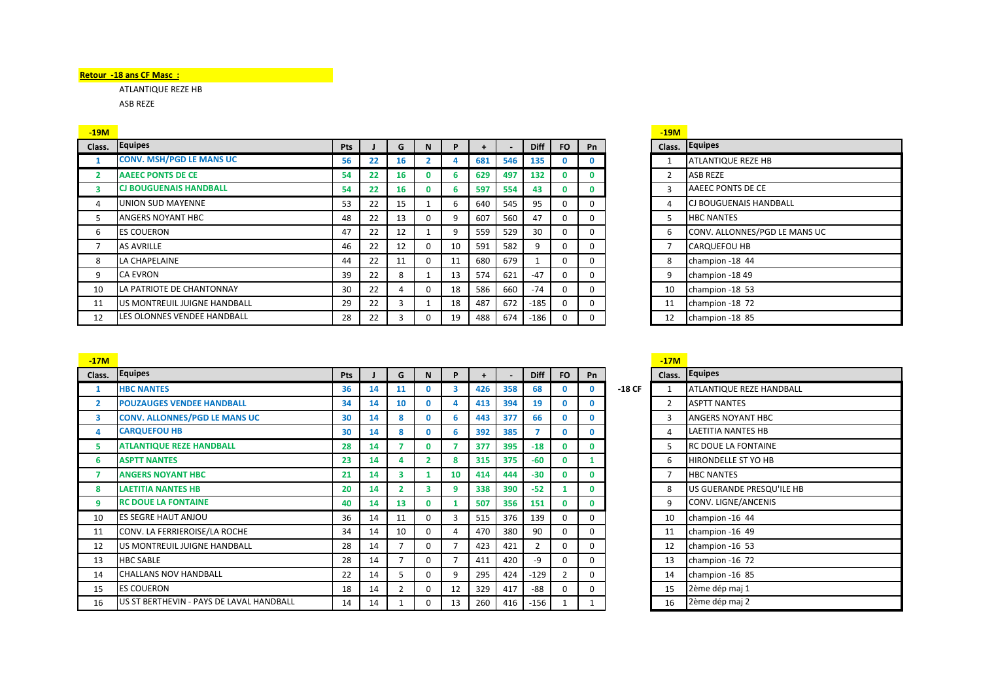## **Retour -18 ans CF Masc :**

ATLANTIQUE REZE HB ASB REZE

| <u>-19M</u> |                                 |     |    |    |          |    |     |     |             |           |           | $-19M$         |                               |
|-------------|---------------------------------|-----|----|----|----------|----|-----|-----|-------------|-----------|-----------|----------------|-------------------------------|
| Class.      | Equipes                         | Pts |    | G  |          |    |     |     | <b>Diff</b> | <b>FO</b> | <b>Pn</b> |                | Class. Equipes                |
|             | <b>CONV. MSH/PGD LE MANS UC</b> | 56  | 22 | 16 |          |    | 681 | 546 | 135         |           | $\bf{0}$  |                | <b>ATLANTIQUE REZE HB</b>     |
|             | <b>AAEEC PONTS DE CE</b>        | 54  | 22 | 16 |          |    | 629 | 497 | 132         |           | 0         | 2              | <b>ASB REZE</b>               |
| 3           | <b>CJ BOUGUENAIS HANDBALL</b>   | 54  | 22 | 16 |          |    | 597 | 554 | 43          |           | 0         | 3              | AAEEC PONTS DE CE             |
| 4           | UNION SUD MAYENNE               | 53  | 22 | 15 |          | h  | 640 | 545 | 95          |           | $\Omega$  | 4              | <b>CJ BOUGUENAIS HANDBALL</b> |
| ь           | <b>ANGERS NOYANT HBC</b>        | 48  | 22 | 13 | 0        |    | 607 | 560 | 47          |           | $\Omega$  | 5              | <b>HBC NANTES</b>             |
| 6           | <b>ES COUERON</b>               | 47  | 22 | 12 |          | 9  | 559 | 529 | 30          |           | 0         | 6              | CONV. ALLONNES/PGD LE MANS UC |
|             | <b>AS AVRILLE</b>               | 46  | 22 | 12 | 0        | 10 | 591 | 582 | 9           |           | $\Omega$  | $\overline{ }$ | <b>CARQUEFOU HB</b>           |
| 8           | LA CHAPELAINE                   | 44  | 22 | 11 | $\Omega$ | 11 | 680 | 679 |             |           | 0         | 8              | champion -18 44               |
| 9           | <b>CA EVRON</b>                 | 39  | 22 | 8  |          | 13 | 574 | 621 | $-47$       |           | $\Omega$  | 9              | champion -1849                |
| 10          | LA PATRIOTE DE CHANTONNAY       | 30  | 22 | 4  |          | 18 | 586 | 660 | $-74$       |           | $\Omega$  | 10             | champion -18 53               |
| 11          | US MONTREUIL JUIGNE HANDBALL    | 29  | 22 | 3  |          | 18 | 487 | 672 | $-185$      |           | $\Omega$  | 11             | champion -18 72               |
| 12          | LES OLONNES VENDEE HANDBALL     | 28  | 22 |    |          | 19 | 488 | 674 | $-186$      |           | $\Omega$  | 12             | champion -18 85               |

| <u>-19M</u>    |                               |
|----------------|-------------------------------|
| Class.         | <b>Equipes</b>                |
| $\mathbf{1}$   | ATLANTIQUE REZE HB            |
| $\overline{2}$ | <b>ASB REZE</b>               |
| 3              | AAEEC PONTS DE CE             |
| 4              | CJ BOUGUENAIS HANDBALL        |
| 5.             | <b>HBC NANTES</b>             |
| 6              | CONV. ALLONNES/PGD LE MANS UC |
| 7              | <b>CARQUEFOU HB</b>           |
| 8              | champion -18 44               |
| 9              | champion -18 49               |
| 10             | champion -18 53               |
| 11             | champion -18 72               |
| 12             | champion -18 85               |

| $-17M$         |                                          |     |    |                |                |    |     |     |             |                |              |          | $-17M$         |                            |
|----------------|------------------------------------------|-----|----|----------------|----------------|----|-----|-----|-------------|----------------|--------------|----------|----------------|----------------------------|
| Class.         | <b>Equipes</b>                           | Pts |    | G              | N              | P  | ÷.  |     | <b>Diff</b> | <b>FO</b>      | <b>Pn</b>    |          | Class.         | Equipes                    |
| 1              | <b>HBC NANTES</b>                        | 36  | 14 | 11             | $\mathbf{0}$   | 3  | 426 | 358 | 68          | $\mathbf{0}$   | $\mathbf{0}$ | $-18$ CF |                | ATLANTIQUE REZE HANDBALL   |
| $\overline{2}$ | <b>POUZAUGES VENDEE HANDBALL</b>         | 34  | 14 | 10             | $\mathbf{0}$   | 4  | 413 | 394 | 19          | $\mathbf{0}$   | $\mathbf{0}$ |          | $\overline{2}$ | <b>ASPTT NANTES</b>        |
| 3              | <b>CONV. ALLONNES/PGD LE MANS UC</b>     | 30  | 14 | 8              | $\mathbf{0}$   | 6  | 443 | 377 | 66          | $\mathbf{0}$   | 0            |          | 3              | <b>ANGERS NOYANT HBC</b>   |
| 4              | <b>CARQUEFOU HB</b>                      | 30  | 14 | 8              | $\mathbf{0}$   | 6  | 392 | 385 |             | $\mathbf{0}$   | 0            |          | 4              | <b>LAETITIA NANTES HB</b>  |
| 5              | <b>ATLANTIQUE REZE HANDBALL</b>          | 28  | 14 |                | $\mathbf{0}$   |    | 377 | 395 | $-18$       | $\mathbf{0}$   | $\mathbf{0}$ |          | 5.             | <b>RC DOUE LA FONTAINE</b> |
| 6              | <b>ASPTT NANTES</b>                      | 23  | 14 | 4              | $\overline{2}$ | 8  | 315 | 375 | $-60$       | $\mathbf{0}$   |              |          | 6              | <b>HIRONDELLE ST YO HB</b> |
| 7              | <b>ANGERS NOYANT HBC</b>                 | 21  | 14 | 3              |                | 10 | 414 | 444 | $-30$       | $\mathbf{0}$   | 0            |          | $\overline{7}$ | <b>HBC NANTES</b>          |
| 8              | <b>LAETITIA NANTES HB</b>                | 20  | 14 | $\overline{2}$ | 3              | 9  | 338 | 390 | $-52$       | 1              | $\mathbf{0}$ |          | 8              | US GUERANDE PRESQU'ILE HB  |
| 9              | <b>RC DOUE LA FONTAINE</b>               | 40  | 14 | 13             | $\mathbf 0$    |    | 507 | 356 | 151         | $\mathbf 0$    | $\mathbf{0}$ |          | 9              | CONV. LIGNE/ANCENIS        |
| 10             | <b>ES SEGRE HAUT ANJOU</b>               | 36  | 14 | 11             | $\Omega$       | 3  | 515 | 376 | 139         | $\Omega$       | 0            |          | 10             | champion -16 44            |
| 11             | CONV. LA FERRIEROISE/LA ROCHE            | 34  | 14 | 10             | $\Omega$       | 4  | 470 | 380 | 90          | $\Omega$       | $\Omega$     |          | 11             | champion -16 49            |
| 12             | US MONTREUIL JUIGNE HANDBALL             | 28  | 14 |                | 0              |    | 423 | 421 | 2           | 0              | $\Omega$     |          | 12             | champion -16 53            |
| 13             | <b>HBC SABLE</b>                         | 28  | 14 |                | $\Omega$       | 7  | 411 | 420 | -9          | $\Omega$       | $\Omega$     |          | 13             | champion -16 72            |
| 14             | <b>CHALLANS NOV HANDBALL</b>             | 22  | 14 | 5              | $\Omega$       | 9  | 295 | 424 | $-129$      | $\overline{2}$ | $\Omega$     |          | 14             | champion -16 85            |
| 15             | <b>ES COUERON</b>                        | 18  | 14 | $\overline{2}$ | $\mathbf 0$    | 12 | 329 | 417 | $-88$       | $\Omega$       | $\Omega$     |          | 15             | 2ème dép maj 1             |
| 16             | US ST BERTHEVIN - PAYS DE LAVAL HANDBALL | 14  | 14 |                | $\Omega$       | 13 | 260 | 416 | -156        |                |              |          | 16             | 2ème dép maj 2             |

| Class.         | <b>Equipes</b>             |
|----------------|----------------------------|
| $\mathbf{1}$   | ATLANTIQUE REZE HANDBALL   |
| 2              | <b>ASPTT NANTES</b>        |
| 3              | ANGERS NOYANT HBC          |
| 4              | <b>LAETITIA NANTES HB</b>  |
| 5              | <b>RC DOUE LA FONTAINE</b> |
| 6              | <b>HIRONDELLE ST YO HB</b> |
| $\overline{7}$ | <b>HBC NANTES</b>          |
| 8              | US GUERANDE PRESQU'ILE HB  |
| 9              | CONV. LIGNE/ANCENIS        |
| 10             | champion -16 44            |
| 11             | champion -16 49            |
| 12             | champion -16 53            |
| 13             | champion -16 72            |
| 14             | champion -16 85            |
| 15             | 2ème dép maj 1             |
| 16             | 2ème dép maj 2             |